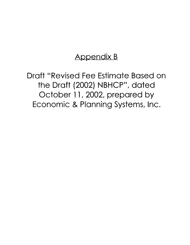### Appendix B

Draft "Revised Fee Estimate Based on the Draft (2002) NBHCP", dated October 11, 2002, prepared by Economic & Planning Systems, Inc.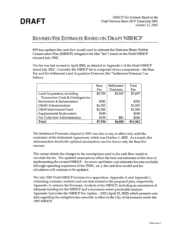### **REVISED FEE ESTIMATE BASED ON DRAFT NBHCP**

EPS has updated the cash flow model used to estimate the Natomas Basin Habitat Conservation Plan (NBHCP) mitigation fee (the "fee") based on the Draft NBHCP released July 2002.

The fee was last revised in April 2002, as detailed in Appendix I of the Draft NBHCP dated July 2002. Currently the NBHCP fee is composed of two components - the Base Fee and the Settlement Land Acquisition Premium (the "Settlement Premium") as follows:

|                                   | <b>Base</b> | Settlement | Total    |
|-----------------------------------|-------------|------------|----------|
|                                   | Fee         | Premium    | Fee      |
| Land Acquisition, including       | \$3,750     | \$3,947    | \$7,697  |
| Transaction Costs & Contingencies |             |            |          |
| Restoration & Enhancement         | \$782       |            | \$782    |
| O&M/Administration                | \$1,555     |            | \$1,555  |
| O&M Endowment Fund                | \$1,500     |            | \$1,500  |
| Supplemental Endowment            | \$188       |            | \$188    |
| Fee Collection Administration     | \$159       | \$81       | \$240    |
| <b>Total</b>                      | \$7,934     | \$4,028    | \$11,962 |

The Settlement Premium adopted in 2001 was due to stay in effect only until the expiration of the Settlement Agreement, which was October 1, 2002. As a result, this memorandum details the updated assumptions used to derive only the Base Fee amount.

This memo details the changes to the assumptions used in the cash flow model to calculate the fee. The updated assumptions reflect the best cost estimates at this time of implementing the revised NBHCP. As newer and better cost estimates become available (through operating experience of the TNBC, etc.), the cash flow model and fee calculation will continue to be updated.

The July 2002 Draft NBHCP includes two appendices, Appendix A and Appendix I, containing economic analysis and cost data related to the proposed plan, respectively. Appendix A contains the Economic Analysis of the NBHCP, including an assessment of adequate funding for the NBHCP and a maximum extent practicable analysis. Appendix I provides the NBHCP Fee Update - 2002 (April 25, 2002) which presents cost data regarding the mitigation fee currently in effect in the City of Sacramento under the 1997 NBHCP.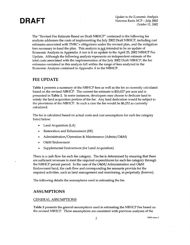

**DRAFT** *Update to the Economic Analysis Natomas Basin HCP* - *July 2002 October 11, 2002* 

The "Revised Fee Estimate Based on Draft NBHCP" contained in the following fee analysis addresses the costs of implementing the July 2002 Draft NBHCP, including cost estimates associated with TNBC's obligations under the revised plan, and the mitigation fees necessary to fund the plan. This analysis is not intended to be an update of Economic Analysis in Appendix A nor is it an update to the April 25, 2002 NBHCP Fee Update. Although the following analysis represents an independent estimate of the total costs associated with the implementation of the July 2002 Draft NBHCP, the fee estimates contained in this analysis fall within the range of fees analyzed in the Economic Analysis contained in Appendix A to the NBHCP.

### **FEE UPDATE**

**Table 1** presents a summary of the NBHCP fees as well as the fee as currently calculated based on the revised NBHCP. The current fee estimate is \$10,027 per acre and is presented in **Table 2.** In some instances, developers may choose to dedicate land to satisfy the land acquisition portion of the fee. Any land dedication would be subject to the provisions of the NBHCP. In such a case the fee would be \$6,252 as currently calculated.

The fee is calculated based on actual costs and cost assumptions for each fee category listed below:

- Land Acquisition (LA)
- Restoration and Enhancement (RE)
- Administration/Operation & Maintenance (Admin/O&M)
- O&M Endowment
- Supplemental Endowment (for Land Acquisition)

There is a cash flow for each fee category. The fee is determined by ensuring that there are sufficient revenues to meet the required expenditures for each fee category through the NBHCP permit period. In the case of the O&M/ Administration and O&M Endowment fund, the cash flow and corresponding fee amounts provide for the required activities, such as land management and monitoring, in perpetuity (forever).

The following details the assumptions used in estimating the fee.

### **ASSUMPTIONS**

### GENERAL ASSUMPTIONS

**Table** 3 presents the general assumptions used in estimating the NBHCP Fee based on the revised NBHCP. These assumptions are consistent with previous analyses of the

2 <sup>10365</sup>*memo* <sup>2</sup>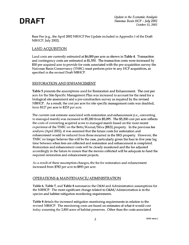

Base Fee (e.g., the April 2002 NBHCP Fee Update included in Appendix I of the Draft NBHCP, July 2002).

### LAND ACQUISITION

Land costs are currently estimated at \$6,000 per acre as shown in Table 4. Transaction and contingency costs are estimated at \$1,550. The transaction costs were increased by \$50 per acquired acre to provide for costs associated with the pre-acquisition survey the Natomas Basin Conservancy (TNBC) must perform prior to any HCP acquisition, as specified in the revised Draft NBHCP.

### RESTORATION AND ENHANCEMENT

Table 5 presents the assumptions used for Restoration and Enhancement. The cost per acre for the Site-Specific Management Plan was increased to account for the need for a biological site assessment and a pre-construction survey as required by the revised NBHCP. As a result, the cost per acre for site specific management costs was doubled, from \$127 per acre to \$253 per acre.

The current cost estimate associated with restoration and enhancement (i.e., converting to managed marsh) was increased to \$5,200 from \$5,095. The \$5,200 cost per acre reflects the costs of converting acquired acres to managed marsh based on the most recent experience of the TNBC on the Betts/Kismat/Silva (BKS) property. In the previous fee analysis (April 2002), it was assumed that the future costs for restoration and enhancement would be reduced from those incurred in the BKS property. However, the TNBC no longer believes this will be the case, particularly given the four to five year lag time between when fees are collected and restoration and enhancement is completed. Restoration and enhancement costs will be closely monitored and the fee adjusted accordingly in the future to ensure that the monies collected will be adequate to fund the required restoration and enhancement projects.

As a result of these assumption changes, the fee for restoration and enhancement increased from \$782 per acre to \$893 per acre.

### OPERATIONS & MAINTENANCE/ADMINISTRATION

Table 6, Table 7, and Table 8 summarize the O&M and Administration assumptions for the NBHCP. The most significant change related to O&M/ Administration is in the species and habitat mitigation monitoring requirements.

Table 8 details the increased mitigation monitoring requirements in relation to the revised NBHCP. The monitoring costs are based on estimates of what it would cost today assuming the 2,800 acres of habitat preserves. Other than the costs associated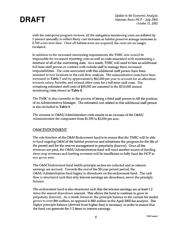**DRAFT** *Update to the Economic Analysis Natomas Basin HCP* - *July 2002 October 11, 2002* 

with the mid-point program reviews, all the mitigation monitoring costs are inflated by 3 percent annually to reflect likely cost increases as habitat preserve acreage increases to 8,700 acres over time. Once all habitat acres are acquired, the costs are no longer escalated.

In addition to the increased monitoring requirements, the TNBC also would be responsible for increased reporting costs as well as costs associated with maintaining a database of all of the monitoring data. As a result, TNBC will need to hire an additional full-time staff person or contract with outside staff to manage these increased responsibilities. The costs associated with this additional staff person have been assumed in two locations in the cash flow analysis. The administrative costs have been increased in Table 7 and by approximately \$62,000 per year to account for an allocation towards salary, benefits, and related office costs for a full-time staff costs. The remaining estimated staff costs of \$38,000 are assumed in the \$210,000 annual monitoring costs shown in Table 8.

The TNBC is also currently in the process of hiring a third staff person to fill the position of an Administrative Manager. The estimated cost related to this additional staff person is also included in Table 8.

The increase in O&M/ Administration costs results in an increase of the O&M/ Administration fee component from \$1,555 to \$2,850 per acre.

### O&M ENDOWMENT

The sole function of the O&M Endowment fund is to ensure that the TNBC will be able to fund ongoing O&M of the habitat preserves and administer the program for the life of the permit and for the reserve management in perpetuity (forever). Once all fee revenues are paid, the O&M/ Administration fund will need another source of funding since crop revenues and hunting revenues will be insufficient to fully fund the HCP in any given year.

The O&M Endowment fund builds principle as fees are collected and as interest earnings are accrued. Towards the end of the 50-year permit period, the O&M/ Administration fund begins to drawdown on the endowment fund. The cash flow is structured such that only interest earnings are drawdown, never the principle balance.

The endowment fund is also structured such that the interest earnings are at least 1.2 times the annual drawdown amount. This allows the fund to continue to grow in perpetuity (forever). As a result, however, the principle balance in the current fee model grows to over \$66 million, as opposed to \$45 million in the April 2002 fee analysis. The higher principle balance (derived from higher fees) is necessary in order to ensure that the fund can generate the 1.2 times in interest earnings.

*4 10365 memo2*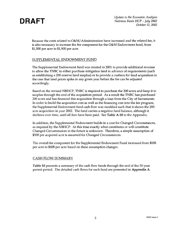

Because the costs related to O&M/ Administration have increased and the related fee, it is also necessary to increase the fee component for the O&M Endowment fund, from \$1,500 per acre to \$1,900 per acre.

### SUPPLEMENTAL ENDOWMENT FUND

The Supplemental Endowment fund was created in 2001 to provide additional revenue to allow the TNBC to either purchase mitigation land in advance of requirements (such as establishing a 200 reserve land surplus) or to provide a cushion for land acquisition in the case that land prices spike in any given year before the fee can be adjusted accordingly.

Based on the revised NBHCP, TNBC is required to purchase the 200 acres and keep it in surplus through the end of the acquisition period. As a result the TNBC has purchased 200 acres and has financed this acquisition through a loan from the City of Sacramento. In order to build the acquisition cost as well as the financing cost into the fee program, the Supplemental Endowment fund cash flow was modified such that it shows the 200 acre acquisition in year 2002. The fund carries a negative fund balance, although it declines over time, until all fees have been paid. See **Table** A-10 in the Appendix.

In addition, the Supplemental Endowment builds in a cost for Changed Circumstances, as required by the NBHCP. At this time exactly what constitutes or will constitute Changed Circumstances in the future is unknown. Therefore, a simple assumption of \$500 per acquired acre is assumed for Changed Circumstances.

The overall fee component for the Supplemental Endowment Fund increased from \$188 per acre to \$408 per acre based on these assumption changes.

### CASH FLOW SUMMARY

**Table 10** presents a summary of the cash flow funds through the end of the 50-year permit period. The detailed cash flows for each fund are presented in **Appendix A.**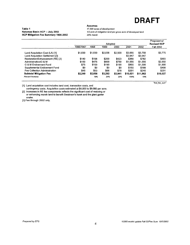

#### **Table 1 Natomas Basin HCP -- July 2002 HCP Mitigation Fee Summary 1996-2002**

#### **Assumes**

17, 500 acres of development

112 acre of mitigation land per gross acre of developed land 25% marsh

|                                  |            |         | Adopted |         |          |          | Proposed w/<br><b>Revised HCP</b> |
|----------------------------------|------------|---------|---------|---------|----------|----------|-----------------------------------|
|                                  | 1996/1997  | 1998    | 1999    | 2000    | 2001     | 2002     | <b>Fall 2002</b>                  |
| Land Acquisition Cost (LA) [1]   | \$1,830    | \$1,830 | \$2.036 | \$2,500 | \$3,000  | \$3.750  | \$3,775                           |
| Land Acquisition Settlement [3]  |            |         |         |         | \$3,947  | \$3.947  |                                   |
| Restoration/Enhancement (RE) [2] | \$140      | \$198   | \$200   | \$423   | \$368    | \$782    | \$893                             |
| Administration/O & M             | \$150      | \$475   | \$800   | \$750   | \$1,555  | \$1,555  | \$2,850                           |
| O & M Endowment Fund             | \$75       | \$100   | \$190   | \$190   | \$800    | \$1,500  | \$1,900                           |
| Supplemental Endowment Fund      | \$0        | \$0     | \$0     | \$0     | \$150    | \$188    | \$408                             |
| Fee Collection Administration    | <b>S45</b> | \$53    | \$66    | \$78    | \$201    | \$240    | \$201                             |
| <b>Subtotal Mitigation Fee</b>   | \$2,240    | \$2,656 | \$3,292 | \$3,941 | \$10,021 | \$11,962 | \$10,027                          |
| Percent Increase                 |            | 19%     | 24%     | 20%     | 154%     | 19%      |                                   |

"hist\_fee\_sum"

[1) Land acquisition cost includes land cost, transaction costs, and

contingency costs. Acquisition costs estimated at \$4,000 to \$9,000 per acre. [2) Increases in RE fee components reflects the significant cost of restoring or

or enhancing marsh land to benefit Swainson's hawk and the giant garter snake.

[3] Fee through 2002 only.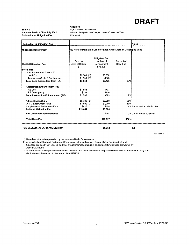Table 2 Natomas Basin HCP -- July 2002 Estimation of Mitigation Fee

Assumes 17,500 acres of development 112 acre of mitigation land per gross acre of developed land 25%marsh

|                 |               |                                                                                                                             |                                             | Notes:                                                                          |
|-----------------|---------------|-----------------------------------------------------------------------------------------------------------------------------|---------------------------------------------|---------------------------------------------------------------------------------|
|                 |               |                                                                                                                             |                                             |                                                                                 |
|                 |               | <b>Mitigation Fee</b>                                                                                                       |                                             |                                                                                 |
| Acre of Habitat |               | Development                                                                                                                 | <b>Base Fee</b>                             |                                                                                 |
|                 |               |                                                                                                                             |                                             |                                                                                 |
|                 |               |                                                                                                                             |                                             |                                                                                 |
|                 |               |                                                                                                                             |                                             |                                                                                 |
|                 |               | \$775                                                                                                                       |                                             |                                                                                 |
|                 |               | \$3,775                                                                                                                     | 38%                                         |                                                                                 |
|                 |               |                                                                                                                             |                                             |                                                                                 |
|                 |               | \$777                                                                                                                       |                                             |                                                                                 |
|                 |               | \$116                                                                                                                       |                                             |                                                                                 |
|                 |               | \$893                                                                                                                       | 9%                                          |                                                                                 |
|                 |               | \$2,850                                                                                                                     | 28%                                         |                                                                                 |
|                 |               | \$1,900                                                                                                                     | 19%                                         |                                                                                 |
|                 |               | \$408                                                                                                                       |                                             | 4% 5% of land acquisition fee                                                   |
|                 |               | \$9,826                                                                                                                     |                                             |                                                                                 |
|                 |               | \$201                                                                                                                       |                                             | 2% 2% of fee for collection                                                     |
|                 |               | \$10,027                                                                                                                    | 100%                                        |                                                                                 |
|                 |               | \$6,252                                                                                                                     |                                             | [3]                                                                             |
|                 | Cost per<br>a | $$6,000$ [1]<br>$$1,550$ [1]<br>\$7,550<br>\$1.553<br>\$233<br>\$1,786<br>$$5,700$ [2]<br>$$3,800$ [2]<br>\$815<br>\$19,651 | per Acre of<br>$b = a \times .5$<br>\$3,000 | 1/2 Acre of Mitigation Land for Each Gross Acre of Developed Land<br>Percent of |

*'1ee\_sum\_1·* 

[1] Based on information provided by the Natomas Basin Conservancy

[2] Administration/O&M and Endowment Fund costs set based on cash flow analysis, ensuring that fund

balances are positive in year 50 and that annual interest earnings in endowment fund exceed drawdown by Admin/O&M fund.

[3] In some cases developers may choose to dedicate land to satisfy the land acquisition component of the NBHCP. Any land dedication will be subject to the terms of the NBHCP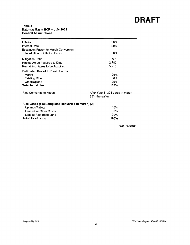### **Table 3 Natomas Basin HCP -- July 2002 General Assumptions**

| Inflation                                                                        | $0.0\%$                                            |
|----------------------------------------------------------------------------------|----------------------------------------------------|
| <b>Interest Rate</b>                                                             | 3.0%                                               |
| <b>Escalation Factor for Marsh Conversion</b><br>In addition to Inflation Factor | $0.0\%$                                            |
| <b>Mitigation Ratio</b>                                                          | 0.5                                                |
| <b>Habitat Acres Acquired to Date</b>                                            | 2,782                                              |
| Remaining Acres to be Acquired                                                   | 5,918                                              |
| <b>Estimated Use of In-Basin Lands</b>                                           |                                                    |
| Marsh                                                                            | 25%                                                |
| <b>Existing Rice</b>                                                             | 50%                                                |
| Other/Upland                                                                     | 25%                                                |
| <b>Total Initial Use</b>                                                         | 100%                                               |
| <b>Rice Converted to Marsh</b>                                                   | After Year-5, 324 acres in marsh<br>25% thereafter |
| Rice Lands (excluding land converted to marsh) [2]                               |                                                    |
| Uplands/Fallow                                                                   | 10%                                                |
| Leased for Other Crops                                                           | $0\%$                                              |
| Leased Rice Base Land                                                            | 90%                                                |
| <b>Total Rice Lands</b>                                                          | 100%                                               |
|                                                                                  | "Gen Assumps"                                      |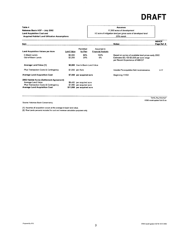#### Table4 Natomas Basin HCP - July 2002 Land Acquisition Cost and Acquired Habitat Land Utilization Assumptions

### **Assumes**

17, 500 acres of development 112 acre of mitigation land per gross acre of developed land

25%marsh

| Item                                      |                    |                                 |                                         | Notes:                                                                                                                             | <b>NBHCP</b><br>Page Ref. # |
|-------------------------------------------|--------------------|---------------------------------|-----------------------------------------|------------------------------------------------------------------------------------------------------------------------------------|-----------------------------|
| <b>Land Acquisition Values per Acre</b>   | Land Value         | Permitted<br>by Plan            | Assumed in<br><b>Financial Analysis</b> |                                                                                                                                    |                             |
| In-Basin Lands<br>Out-of-Basin Lands      | \$6,000<br>\$3.250 | 80%<br>20%                      | 100%<br>0%                              | Based on survey of available land prices early 2002.<br>Estimated \$3,100-\$3,500 per acre range<br>per Recent Experience of NBHCP |                             |
| <b>Average Land Value [1]</b>             |                    | \$6,000 Use In-Basin Land Value |                                         |                                                                                                                                    |                             |
| Plus Transaction Costs & Contingency      |                    | \$1,550 per Acre                |                                         | Includes Pre-acquisition field reconnaissance.                                                                                     | $V - 17$                    |
| <b>Average Land Acquisition Cost</b>      |                    | \$7,550 per acquired acre       |                                         | Beginning 1/1/02                                                                                                                   |                             |
| 2002 Habitat Acres (Settlement Agreement) |                    |                                 |                                         |                                                                                                                                    |                             |
| Average Land Value                        |                    | \$9,450 per acquired acre       |                                         |                                                                                                                                    |                             |
| Plus Transaction Costs & Contingency      |                    | \$1,550 per acquired acre       |                                         |                                                                                                                                    |                             |
| <b>Average Land Acquisition Cost</b>      |                    | \$11,000 per acquired acre      |                                         |                                                                                                                                    |                             |

Source: Natomas Basin Conservancy

[1] Assumes all acquisition occurs at the average in-basin land value.

[2] Rice Lands percents included for cost and revenue calculation purposes only.

·Land\_Acq\_Assumps• 10365 model update Fall 02.xls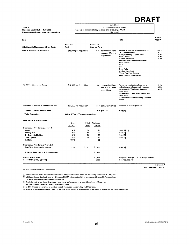**Assumes** 17, 500 acres of development

*112* acre of mitigation land per gross acre of developed land

25% marsh

| Estimated<br>Estimated<br><b>Site Specific Management Plan Costs</b><br>Cost<br>Cost per Acre<br><b>NBHCP Biological Site Assessment</b><br>Baseline Biological site assessments for:<br>\$76 per Acquired Acre<br>\$15,000 per Acquisition<br>$V-22$ ;<br>-Tri-Colored Blackbird<br>assumes 30 more<br>$V - 25$<br>-Valley Elderberry Longhon Beetle<br>acquisitions<br>$V-26$ ;<br>-Delta Tule Pea<br>-Sanford Arrowhead<br>Assessment for Species Introduction:<br>-Delta Tule Pea<br>-CTS<br>-ST<br>-Pond Turtle<br>-Sanford Arrowhead<br>-Vernal Pool Plant Species,<br>-Other Covered Plant Species<br><b>NBHCP Pre-construction Survey</b><br>Formal pre-construction site survey for<br>\$12,000 per Acquisition<br>\$61 per Acquired Acre<br>restoration and enhancement, including:<br>$V-20$<br>assumes 30 more<br>-Assessment of Swainsons Hawk nest<br>$V-25$<br>acquisitions<br>disturbance<br>-Assessment of Other Avian Species nest<br>disturbance<br>-Assessment of Valley Eldeberry Longhorn<br>Beetle<br>Preparation of Site Specific Management Plan<br>Assumes 30 more acquisitions.<br>\$23,000 per Acquisition<br>\$117 per Acquired Acre<br>Subtotal SSMP Cost Per Acre<br>\$253 per acre<br>Note [1]<br>To be Completed:<br>Within 1 Year of Reserve Acquisition<br><b>Restoration &amp; Enhancement</b><br>Use<br>Initial<br>Weighted<br>of Land<br>Cost[5]<br>Costs<br><b>Expended At Time Land Is Acquired</b><br>Marsh<br>0%<br>\$0<br>\$0<br>Note [2], [3]<br><b>Existing Rice</b><br>75%<br>\$0<br>\$0<br>Note [3]<br>Dry Converted to Rice<br>0%<br>80<br>80<br>Note [3]<br>Other Upland<br>25%<br>\$0<br>\$0<br>Note [3]<br>\$0<br><b>Subtotal</b><br>100%<br><b>Expended At Time Land is Converted</b><br>Rice/Other Converted to Marsh<br>25%<br>\$5,200<br>\$1,300<br>Note [4]<br><b>Subtotal Restoration &amp; Enhancement</b><br>\$1,300<br><b>R&amp;E Cost Per Acre</b><br>\$1,553<br>Weighted average cost per Acquired Acre<br>R&E Contingency (@ 15%)<br>\$233<br>Per Acquired Acre | ltem |  |  | Note: | <b>NBHCP</b><br>Page # |
|--------------------------------------------------------------------------------------------------------------------------------------------------------------------------------------------------------------------------------------------------------------------------------------------------------------------------------------------------------------------------------------------------------------------------------------------------------------------------------------------------------------------------------------------------------------------------------------------------------------------------------------------------------------------------------------------------------------------------------------------------------------------------------------------------------------------------------------------------------------------------------------------------------------------------------------------------------------------------------------------------------------------------------------------------------------------------------------------------------------------------------------------------------------------------------------------------------------------------------------------------------------------------------------------------------------------------------------------------------------------------------------------------------------------------------------------------------------------------------------------------------------------------------------------------------------------------------------------------------------------------------------------------------------------------------------------------------------------------------------------------------------------------------------------------------------------------------------------------------------------------------------------------------------------------------------------------------------------------------------------------------------------------------|------|--|--|-------|------------------------|
|                                                                                                                                                                                                                                                                                                                                                                                                                                                                                                                                                                                                                                                                                                                                                                                                                                                                                                                                                                                                                                                                                                                                                                                                                                                                                                                                                                                                                                                                                                                                                                                                                                                                                                                                                                                                                                                                                                                                                                                                                                |      |  |  |       |                        |
|                                                                                                                                                                                                                                                                                                                                                                                                                                                                                                                                                                                                                                                                                                                                                                                                                                                                                                                                                                                                                                                                                                                                                                                                                                                                                                                                                                                                                                                                                                                                                                                                                                                                                                                                                                                                                                                                                                                                                                                                                                |      |  |  |       |                        |
|                                                                                                                                                                                                                                                                                                                                                                                                                                                                                                                                                                                                                                                                                                                                                                                                                                                                                                                                                                                                                                                                                                                                                                                                                                                                                                                                                                                                                                                                                                                                                                                                                                                                                                                                                                                                                                                                                                                                                                                                                                |      |  |  |       | $IV-25$ ;<br>$VI-15$   |
|                                                                                                                                                                                                                                                                                                                                                                                                                                                                                                                                                                                                                                                                                                                                                                                                                                                                                                                                                                                                                                                                                                                                                                                                                                                                                                                                                                                                                                                                                                                                                                                                                                                                                                                                                                                                                                                                                                                                                                                                                                |      |  |  |       | $V-17:$                |
|                                                                                                                                                                                                                                                                                                                                                                                                                                                                                                                                                                                                                                                                                                                                                                                                                                                                                                                                                                                                                                                                                                                                                                                                                                                                                                                                                                                                                                                                                                                                                                                                                                                                                                                                                                                                                                                                                                                                                                                                                                |      |  |  |       |                        |
|                                                                                                                                                                                                                                                                                                                                                                                                                                                                                                                                                                                                                                                                                                                                                                                                                                                                                                                                                                                                                                                                                                                                                                                                                                                                                                                                                                                                                                                                                                                                                                                                                                                                                                                                                                                                                                                                                                                                                                                                                                |      |  |  |       |                        |
|                                                                                                                                                                                                                                                                                                                                                                                                                                                                                                                                                                                                                                                                                                                                                                                                                                                                                                                                                                                                                                                                                                                                                                                                                                                                                                                                                                                                                                                                                                                                                                                                                                                                                                                                                                                                                                                                                                                                                                                                                                |      |  |  |       |                        |
|                                                                                                                                                                                                                                                                                                                                                                                                                                                                                                                                                                                                                                                                                                                                                                                                                                                                                                                                                                                                                                                                                                                                                                                                                                                                                                                                                                                                                                                                                                                                                                                                                                                                                                                                                                                                                                                                                                                                                                                                                                |      |  |  |       |                        |
|                                                                                                                                                                                                                                                                                                                                                                                                                                                                                                                                                                                                                                                                                                                                                                                                                                                                                                                                                                                                                                                                                                                                                                                                                                                                                                                                                                                                                                                                                                                                                                                                                                                                                                                                                                                                                                                                                                                                                                                                                                |      |  |  |       |                        |
|                                                                                                                                                                                                                                                                                                                                                                                                                                                                                                                                                                                                                                                                                                                                                                                                                                                                                                                                                                                                                                                                                                                                                                                                                                                                                                                                                                                                                                                                                                                                                                                                                                                                                                                                                                                                                                                                                                                                                                                                                                |      |  |  |       |                        |
|                                                                                                                                                                                                                                                                                                                                                                                                                                                                                                                                                                                                                                                                                                                                                                                                                                                                                                                                                                                                                                                                                                                                                                                                                                                                                                                                                                                                                                                                                                                                                                                                                                                                                                                                                                                                                                                                                                                                                                                                                                |      |  |  |       |                        |
|                                                                                                                                                                                                                                                                                                                                                                                                                                                                                                                                                                                                                                                                                                                                                                                                                                                                                                                                                                                                                                                                                                                                                                                                                                                                                                                                                                                                                                                                                                                                                                                                                                                                                                                                                                                                                                                                                                                                                                                                                                |      |  |  |       |                        |
|                                                                                                                                                                                                                                                                                                                                                                                                                                                                                                                                                                                                                                                                                                                                                                                                                                                                                                                                                                                                                                                                                                                                                                                                                                                                                                                                                                                                                                                                                                                                                                                                                                                                                                                                                                                                                                                                                                                                                                                                                                |      |  |  |       |                        |
|                                                                                                                                                                                                                                                                                                                                                                                                                                                                                                                                                                                                                                                                                                                                                                                                                                                                                                                                                                                                                                                                                                                                                                                                                                                                                                                                                                                                                                                                                                                                                                                                                                                                                                                                                                                                                                                                                                                                                                                                                                |      |  |  |       |                        |
|                                                                                                                                                                                                                                                                                                                                                                                                                                                                                                                                                                                                                                                                                                                                                                                                                                                                                                                                                                                                                                                                                                                                                                                                                                                                                                                                                                                                                                                                                                                                                                                                                                                                                                                                                                                                                                                                                                                                                                                                                                |      |  |  |       |                        |
|                                                                                                                                                                                                                                                                                                                                                                                                                                                                                                                                                                                                                                                                                                                                                                                                                                                                                                                                                                                                                                                                                                                                                                                                                                                                                                                                                                                                                                                                                                                                                                                                                                                                                                                                                                                                                                                                                                                                                                                                                                |      |  |  |       |                        |
|                                                                                                                                                                                                                                                                                                                                                                                                                                                                                                                                                                                                                                                                                                                                                                                                                                                                                                                                                                                                                                                                                                                                                                                                                                                                                                                                                                                                                                                                                                                                                                                                                                                                                                                                                                                                                                                                                                                                                                                                                                |      |  |  |       |                        |
|                                                                                                                                                                                                                                                                                                                                                                                                                                                                                                                                                                                                                                                                                                                                                                                                                                                                                                                                                                                                                                                                                                                                                                                                                                                                                                                                                                                                                                                                                                                                                                                                                                                                                                                                                                                                                                                                                                                                                                                                                                |      |  |  |       |                        |
|                                                                                                                                                                                                                                                                                                                                                                                                                                                                                                                                                                                                                                                                                                                                                                                                                                                                                                                                                                                                                                                                                                                                                                                                                                                                                                                                                                                                                                                                                                                                                                                                                                                                                                                                                                                                                                                                                                                                                                                                                                |      |  |  |       |                        |

Source: The Natomas Basin Conservancy

Table 5

Natomas Basin HCP - July 2002 Restoration & Enhancement Assumptions

10365 model update Fa# 02.xls

[1] The addition of a formal biological site assessment and pre-construction survey are required by the Draft HCP – July 2002.<br>[2] Initial use of marsh land estimated at 0% because NBHCP estimates that little to no marshla

However, rice land will be converted to marsh land.

[31 The initial costs of marsh, existing rice, dry land converted to rice and other upland have been set to zero as no initial restoration or enhancement costs are anticipated.

(4) In 2001, the cost of converting of acquired acres to marsh cost approximately \$5,200 per acre.

{5) The cost of restoration and enhancement is weighted by the percent of acres assumed to be converted or used for that particular land use.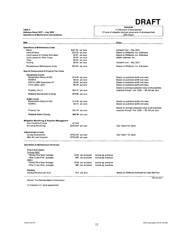Table 6 Natomas Basin HCP -- July 2002 Operations & Maintenance Assumptions

### **Assumes**

17,500 acres of development 112 acre of mitigation land per gross acre of developed land 25%marsh

| ltem                                                   |                    |                     |                      | Notes:                                                                                             |
|--------------------------------------------------------|--------------------|---------------------|----------------------|----------------------------------------------------------------------------------------------------|
| <b>Operations &amp; Maintenance Costs</b>              |                    |                     |                      |                                                                                                    |
| Marsh                                                  |                    | \$281.00 per acre   |                      | Updated Cost -- May 2001                                                                           |
| Upland/Fallow                                          |                    | \$18.25 per acre    |                      | Based on Wildlands, Inc. Estimates                                                                 |
| Land Leased for Planted Rice Base                      |                    | \$2.67 per acre     |                      | Based on Wildlands, Inc. Estimates                                                                 |
| Land Leased for Other Crops                            |                    | \$2.67 per acre     |                      | alfalfa, safflower, etc.                                                                           |
| Other                                                  |                    | $$0.00$ per acre    |                      |                                                                                                    |
| Hunting                                                |                    | \$0.00 per acre     |                      | Updated Cost -- May 2001                                                                           |
| Miscellaneous Maintenance Costs                        |                    | \$23.65 per acre    |                      | Based on Wildlands, Inc. Estimates                                                                 |
| <b>Special Assessment &amp; Property Tax Costs</b>     |                    |                     |                      |                                                                                                    |
| Sacramento County                                      |                    |                     |                      |                                                                                                    |
| Reclamation District #1000                             |                    | \$13.08 per acre    |                      | Based on published tariffs and rates                                                               |
| <b>NCMWA</b>                                           |                    | \$0.42 per acre     |                      | Based on published tariffs and rates                                                               |
| SAFCA O&M Assessment #1                                |                    | \$5.69 per acre     |                      | Based on published tariffs and rates                                                               |
| <b>CSAI Safety Lights</b>                              |                    | \$0.08 per acre     |                      | Based on published tariffs and rates                                                               |
|                                                        |                    |                     |                      | Based on average assessed value of all properties                                                  |
| Property Tax [1]                                       |                    | \$54.42 per acre    |                      | acquired through Feb. 2002 -- \$5,100 per acre                                                     |
| <b>Subtotal Sacramento County</b>                      |                    | \$73.68 per acre    |                      |                                                                                                    |
| <b>Sutter County</b>                                   |                    |                     |                      |                                                                                                    |
| Reclamation District #1000                             |                    | \$13.08 per acre    |                      | Based on published tariffs and rates                                                               |
| <b>NCMWC</b>                                           |                    | \$0.42 per acre     |                      | Based on published tariffs and rates                                                               |
|                                                        |                    |                     |                      |                                                                                                    |
| Property Tax                                           |                    | \$51.00 per acre    |                      | Based on average assessed value of all properties<br>acquired through Feb. 2002 - \$5,100 per acre |
| <b>Subtotal Sutter County</b>                          |                    | \$64.50 per acre    |                      |                                                                                                    |
|                                                        |                    |                     |                      |                                                                                                    |
| <b>Mitigation Monitoring &amp; Adaptive Management</b> |                    |                     |                      |                                                                                                    |
| One-Time/Fixed Costs                                   | \$7,500            |                     |                      |                                                                                                    |
| <b>On-Going Monitoring</b>                             | \$203,040 per year |                     |                      | See Table 8 for detail                                                                             |
| <b>Administrative Costs</b>                            |                    |                     |                      |                                                                                                    |
| During Development                                     |                    | \$756,585 per year  |                      | See Table 7 for detail                                                                             |
| After All Land Acquired                                |                    | \$756,585 per year  |                      |                                                                                                    |
| <b>Operations &amp; Maintenance Revenues</b>           |                    |                     |                      |                                                                                                    |
| <b>Crop Land Leases</b>                                |                    |                     |                      |                                                                                                    |
| Through 2002                                           |                    |                     |                      |                                                                                                    |
| Planted Rice Base Acreage                              |                    | \$160 per acre/year | normal ag. practices |                                                                                                    |
| Other Crops (Fiex. acreage)                            |                    | \$80 per acre/year  | normal ag. practices |                                                                                                    |
| $2003 +$                                               |                    |                     |                      |                                                                                                    |
| Planted Rice Base Acreage                              |                    | \$160 per acre/year | normal ag practices  |                                                                                                    |
| Other Crops (Flex. acreage)                            |                    | \$80 per acre/year  | normal ag. practices |                                                                                                    |
| Hunting                                                |                    |                     |                      |                                                                                                    |
| Hunting Revenue per Acre                               |                    | \$12 per acre       |                      | Based on Wildlands Estimate for initial Site Plan                                                  |
|                                                        |                    |                     |                      | "OM Assumps"                                                                                       |

Source: The Natomas Basin Conservancy

[1] Includes G.O. bond assessment.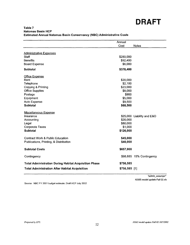|                                                              | Annual        |                            |
|--------------------------------------------------------------|---------------|----------------------------|
|                                                              | Cost          | <b>Notes</b>               |
|                                                              |               |                            |
| <b>Administrative Expenses</b>                               |               |                            |
| Staff                                                        | \$280,000     |                            |
| <b>Benefits</b>                                              | \$92,400      |                            |
| <b>Board Expense</b>                                         | \$6,000       |                            |
| <b>Subtotal</b>                                              | \$378,400     |                            |
| <b>Office Expense</b>                                        |               |                            |
| Rent                                                         | \$20,000      |                            |
| Telephone                                                    | \$2,100       |                            |
| Copying & Printing                                           | \$23,000      |                            |
| <b>Office Supplies</b>                                       | \$8,000       |                            |
| Postage                                                      | \$900         |                            |
| Equipment                                                    | \$5,000       |                            |
| Auto Expense                                                 | \$9,500       |                            |
| <b>Subtotal</b>                                              | \$68,500      |                            |
| <b>Miscellaneous Expense</b>                                 |               |                            |
| Insurance                                                    |               | \$25,000 Liability and E&O |
| Accounting                                                   | \$20,000      |                            |
| Legal                                                        | \$80,000      |                            |
| <b>Corporate Taxes</b>                                       | \$1,000       |                            |
| <b>Subtotal</b>                                              | \$126,000     |                            |
| <b>Contract Work &amp; Public Education</b>                  | \$45,000      |                            |
|                                                              | \$40,000      |                            |
| Publications, Printing, & Distribution                       |               |                            |
| <b>Subtotal Costs</b>                                        | \$657,900     |                            |
| Contingency                                                  |               | \$98,685 15% Contingency   |
| <b>Total Administration During Habitat Acquisition Phase</b> | \$756,585     |                            |
| <b>Total Administration After Habitat Acquisition</b>        | \$756,585 [1] |                            |

### **Table 7 Natomas Basin HCP Estimated Annual Natomas Basin Conservancy {NBC) Administrative Costs**

10365 model update Fall 02.xls

Source: NBC FY 2001 budget estimate; Draft HCP July 2002

"admin\_assumps"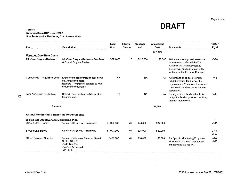Page 1 of 4

**DRAFT** 

### **Table 8 Natomas Basin HCP·· July 2002 Species & Habitat Monitoring Cost Assumptions**

| ltem                                                  | <b>Description</b>                                                                                                                    | Total<br>Cost | Interval<br>(Years) | Cost per<br>unit | <b>Annualized</b><br>Cost | <b>Comments</b>                                                                                                                                                           | <b>NBHCP</b><br>Pg. # |
|-------------------------------------------------------|---------------------------------------------------------------------------------------------------------------------------------------|---------------|---------------------|------------------|---------------------------|---------------------------------------------------------------------------------------------------------------------------------------------------------------------------|-----------------------|
|                                                       |                                                                                                                                       |               |                     |                  | 50 Years                  |                                                                                                                                                                           |                       |
| <b>Fixed or One-Time Costs</b>                        |                                                                                                                                       |               |                     |                  |                           |                                                                                                                                                                           |                       |
| Mid-Point Program Reviews                             | Mid-Point Program Review for Permitees<br>& Overall Program Review                                                                    | \$375,000     | 3                   | \$125,000        | \$7,500                   | Written report required; extensive<br>requirements; refer to NBHCP.<br>Assumes the Overall Program<br>Review will happen concurrently<br>with one of the Permitee Reviews | $VI-28$               |
| Connectivity -- Acquisition Costs                     | Ensure connectivity through easements,<br>etc. Acquisition costs.<br>Estimate -- 10 miles of abandoned water<br>conveyance structures | <b>NA</b>     |                     | <b>NA</b>        | <b>NA</b>                 | Assumed to be applied towards<br>habitat preserve land acquisition<br>requirements. Therefore, it assumed<br>costs would be absorbed under land<br>acquisition.           | $IV-8$                |
| <b>Land Acquisition Restrictions</b>                  | Setback; no mitigation land designated<br>for urban use.                                                                              | <b>NA</b>     |                     | <b>NA</b>        | <b>NA</b>                 | Greatly restricts land available for<br>mitigation land acquisition resulting<br>in much higher costs.                                                                    | $IV-11$               |
| Subtotal                                              |                                                                                                                                       |               |                     |                  | \$7,500                   |                                                                                                                                                                           |                       |
| <b>Annual Monitoring &amp; Reporting Requirements</b> |                                                                                                                                       |               |                     |                  |                           |                                                                                                                                                                           |                       |
| <b>Biological Effectiveness Monitoring Plan</b>       |                                                                                                                                       |               |                     |                  |                           |                                                                                                                                                                           |                       |
| <b>Giant Garter Snake</b>                             | Annual Field Survey -- Basinwide                                                                                                      | \$1,600,000   | 40                  | \$40,000         | \$32,000                  |                                                                                                                                                                           | $VI-19$               |
| Swainson's Hawk                                       | Annual Field Survey -- Basinwide                                                                                                      | \$1,000,000   | 40                  | \$25,000         | \$20,000                  |                                                                                                                                                                           | $V-18:$<br>$VI-20$    |
| <b>Other Covered Species</b>                          | Annual monitoring of Preserve Sites &<br>Control Sites for:<br>-Delta Tule Pea<br>-Sanford Arrowhead<br>-VP Plants                    | \$400,000     | 40                  | \$10,000         | \$8,000                   | <b>Site Specific Monitoring Programs</b><br>Must monitor known populations<br>annually and file report.                                                                   | $V-26:$<br>$VI-15$    |

 $5<sup>2</sup>$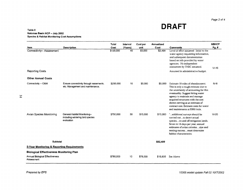Page 2 of 4

**DRAFT** 

#### Table 8 Natomas Basin HCP •• July 2002 Species & Habitat Monitoring Cost Assumptions

| Item                                                 |                                                                                | Total<br>Cost | Interval      | Cost per        | Annualized<br>Cost | <b>Comments</b>                                                                                                                                                                                                                                                                                                                                | <b>NBHCP</b>     |
|------------------------------------------------------|--------------------------------------------------------------------------------|---------------|---------------|-----------------|--------------------|------------------------------------------------------------------------------------------------------------------------------------------------------------------------------------------------------------------------------------------------------------------------------------------------------------------------------------------------|------------------|
| Connectivity-- Assessment                            | <b>Description</b>                                                             | \$120,000     | (Years)<br>40 | unit<br>\$3,000 | \$2,400            | Level of effort assumed - letter to the<br>water agency requesting information,<br>and subsequent documentation<br>based on info provided by water<br>agencies. No independent<br>assessment by TNBC assumed.                                                                                                                                  | Pg. #<br>$VI-15$ |
| <b>Reporting Costs</b>                               |                                                                                |               |               |                 |                    | Assumed in administrative budget.                                                                                                                                                                                                                                                                                                              |                  |
| <b>Other Annual Costs</b>                            |                                                                                |               |               |                 |                    |                                                                                                                                                                                                                                                                                                                                                |                  |
| Connectivity -- O&M                                  | Ensure connectivity through easements,<br>etc. Management and maintenance.     | \$250,000     | 10            | \$5,000         | \$5,000            | Estimate 10 miles of abandonment.<br>This is only a rough estimate due to<br>the uncertainty of accounting for this<br>eventuality. Suggest hiring water<br>agency to maintain and manage<br>acquired structures with the cost<br>shown serving as an estimate of<br>contract cost. Estimate costs for water<br>and maintenance at \$500/mile. | $IV-8$           |
| Avian Species Monitoring                             | General Habitat Monitoring--<br>including wintering bird species<br>evaluation | \$750,000     | 50            | \$15,000        | \$15,000           | "additional surveys should be<br>carried outto detect actual<br>specieson and off mitigation lands.<br>Seven to 14-days per year; annual<br>estimates of avian coloniessize and<br>nesting successmust determine<br>habitat characteristics.                                                                                                   | $VI-20$          |
| <b>Subtotal</b>                                      |                                                                                |               |               |                 | \$82,400           |                                                                                                                                                                                                                                                                                                                                                |                  |
| 5-Year Monitoring & Reporting Requirements           |                                                                                |               |               |                 |                    |                                                                                                                                                                                                                                                                                                                                                |                  |
| <b>Biological Effectiveness Monitoring Plan</b>      |                                                                                |               |               |                 |                    |                                                                                                                                                                                                                                                                                                                                                |                  |
| <b>Annual Biological Effectiveness</b><br>Assessment |                                                                                | \$780,000     | 10            | \$78,000        | \$15,600           | See Above                                                                                                                                                                                                                                                                                                                                      |                  |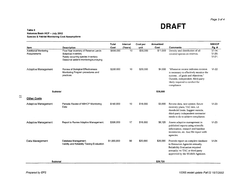Page 3 of 4

**DRAFT** 

#### **Table 8 Natomas Basin HCP - July 2002 Species & Habitat Monitoring Cost Assumptions**

|                                                      |                                                                                                                                                                  | Total             | Interval      | Cost per         | Annualized       |                                                                                                                                                                                                          | <b>NBHCP</b>                                |
|------------------------------------------------------|------------------------------------------------------------------------------------------------------------------------------------------------------------------|-------------------|---------------|------------------|------------------|----------------------------------------------------------------------------------------------------------------------------------------------------------------------------------------------------------|---------------------------------------------|
| Item<br><b>Additional Monitoring</b><br>Requirements | <b>Description</b><br>Five-Year Inventory of Reserve Lands<br>Botanical inventory<br>Rarely occurring species inventory<br>Seasonal wetland monitoring/surveying | Cost<br>\$550,000 | (Years)<br>10 | unit<br>\$55,000 | Cost<br>\$11,000 | <b>Comments</b><br>Density and distribution of all<br>covered species on reserves.                                                                                                                       | Pg. #<br>$VI-14$ :<br>$VI-20$ ;<br>$VI-21;$ |
| Adaptive Management                                  | Review of Biological Effectiveness<br>Monitoring Program procedures and<br>practices.                                                                            | \$200,000         | 10            | \$20,000         | \$4,000          | "Whenever review indicates revision<br>is necessary to effectively monitor the<br>successof goals and objectives."<br>Outside, independent, third-party<br>likely required to conduct for<br>compliance. | $VI-22$                                     |
| <b>Subtotal</b>                                      |                                                                                                                                                                  |                   |               |                  | \$30,600         |                                                                                                                                                                                                          |                                             |
| <b>Other Costs</b>                                   |                                                                                                                                                                  |                   |               |                  |                  |                                                                                                                                                                                                          |                                             |
| <b>Adaptive Management</b>                           | Periodic Review of NBHCP Monitoring<br>Data                                                                                                                      | \$180,000         | 10            | \$18,000         | \$3.600          | Review data, new science, future<br>recovery plans, TAC recs, i.d.<br>threshold limits. Suggest outside,<br>third-party independent contractor<br>needs to do to achieve compliance.                     | $VI-23$                                     |
| <b>Adaptive Management</b>                           | Report to Review Adaptive Management.                                                                                                                            | \$306,000         | 17            | \$18,000         | \$6,120          | Assess adaptive management in<br>published reports using scientific<br>information, research and baseline<br>inventories, etc. And file report with<br>agencies.                                         | $VI-23$                                     |
| Data Management                                      | Database Management;<br>Validity and Reliability Testing Evaluation                                                                                              | \$1,000,000       | 50            | \$20,000         | \$20,000         | Provide report on complete database<br>to Resources Agencies annually.<br>Reliability Evaluation required<br>annually; w/TAC or third party<br>approved by the Wildlife Agencies.                        | $VI-24$                                     |
| Subtotal                                             |                                                                                                                                                                  |                   |               |                  | \$29,720         |                                                                                                                                                                                                          |                                             |

 $\mathfrak{L}% _{2}^{2}(\mathbb{R}^{2})$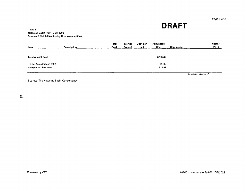Page 4 of 4

**DRAFT** 

#### Table 8 Natomas Basin HCP ·-July 2002 Species & Habitat Monitoring Cost Assumptions

| <b>Item</b>                                               | <b>Description</b> | Total<br>Cost | Interval<br>(Years) | Cost per<br>unit | Annualized<br>Cost | <b>Comments</b> | <b>NBHCP</b><br>Pg. # |
|-----------------------------------------------------------|--------------------|---------------|---------------------|------------------|--------------------|-----------------|-----------------------|
| <b>Total Annual Cost</b>                                  |                    |               |                     |                  | \$210,540          |                 |                       |
| Habitat Acres through 2002<br><b>Annual Cost Per Acre</b> |                    |               |                     |                  | 2,788<br>\$75.52   |                 |                       |

"Monitoring\_Assumps"

Source: The Natomas Basin Conservancy

 $9I$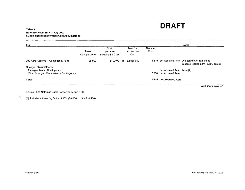#### **Table 9 Natomas Basin HCP -- July 2002 Supplemental Endowment Cost Assumptions**

| ltem                                                                                                       |                       |                                        |                                   |                   |                                                 | Note:                                                                                 |
|------------------------------------------------------------------------------------------------------------|-----------------------|----------------------------------------|-----------------------------------|-------------------|-------------------------------------------------|---------------------------------------------------------------------------------------|
|                                                                                                            | Base<br>Cost per Acre | Cost<br>per Acre<br>Including Int Cost | Total Est.<br>Acquisition<br>Cost | Allocated<br>Cost |                                                 |                                                                                       |
| 200 Acre Reserve -- Contingency Fund                                                                       | \$8,000               | $$10,400$ [1]                          | \$2,080,000                       |                   |                                                 | \$315 per Acquired Acre Allocated over remaining<br>reserve requirement (6,600 acres) |
| <b>Changed Circumstances</b><br><b>Managed Marsh Contingency</b><br>Other Changed Circumstance Contingency |                       |                                        |                                   | \$500             | per Acquired Acre Note [2]<br>per Acquired Acre |                                                                                       |
| Total                                                                                                      |                       |                                        |                                   |                   | \$815 per Acquired Acre                         |                                                                                       |
|                                                                                                            |                       |                                        |                                   |                   |                                                 | "supp_endow_assumps"                                                                  |

Source: The Natomas Basin Conservancy and EPS

[1] Includes a financing factor of 30% (\$8,000  $*$  1.3 = \$10,400).

 $\overline{L}$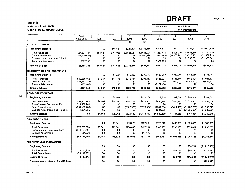### **Table 10 Natomas Basin HCP Cash Flow Summary- 2002\$**

| Assumes: | 0.0% Inflation     |
|----------|--------------------|
|          | 3.0% Interest Rate |

|                                           | Total            | $\mathbf{1}$    | $\overline{2}$  | 3               | 4                | 5             | 6             | 7                | 8               |
|-------------------------------------------|------------------|-----------------|-----------------|-----------------|------------------|---------------|---------------|------------------|-----------------|
|                                           | 1996-2045        | 1996            | 1997            | 1998            | 1999             | 2000          | 2001          | 2002             | 2003            |
| <b>LAND ACQUISITION</b>                   |                  | $\overline{11}$ | $\overline{11}$ | $\overline{11}$ | $\overline{[2]}$ |               |               |                  |                 |
|                                           |                  |                 |                 |                 |                  |               |               |                  |                 |
| <b>Beginning Balance</b>                  |                  | \$0             | \$55.641        | \$247,608       | \$2,773,665      | \$545.571     | \$563,113     | \$2,225,278      | ( \$2.007, 870) |
| <b>Total Revenues</b>                     | \$64,621,447     | \$55,641        | \$191,966       | \$2,526,057     | \$2,696,904      | \$1,287,471   | \$3,198,070   | \$3,941,346      | \$4,462.910     |
| <b>Total Expenditures</b>                 | ( \$56,510,403)  | \$0             | \$0             | \$0             | (\$4.924,998)    | (\$1,647,666) | (\$1,535,905) | $($ \$9,510,155) | (\$1,569,213)   |
| Transfers from Admin/O&M Fund             | \$0              | \$0             | \$0             | \$0             | \$0              | \$0           | \$0           | \$1,335,661      | (\$1,335,661)   |
| <b>Balance Adjustments</b>                | \$377,738        | \$0             | \$0             | \$0             | \$0              | \$377,738     | \$0           | \$0              | \$0             |
| <b>Ending Balance</b>                     | \$8,488,781      | \$55,641        | \$247,608       | \$2,773,665     | \$545,571        | \$563,113     | \$2,225,278   | ( \$2,007,870)   | ( \$449, 834)   |
| <b>RESTORATION &amp; ENHANCEMENTS</b>     |                  |                 |                 |                 |                  |               |               |                  |                 |
| Beginning Balance                         |                  | \$0             | \$4,257         | \$19.032        | \$292.743        | \$589,200     | \$582,058     | \$268,280        | \$375,241       |
| <b>Total Revenues</b>                     | \$13,688.163     | \$4.257         | \$14.775        | \$273.711       | \$296.457        | \$145.324     | \$746,644     | \$452,121        | \$1.056.627     |
| <b>Total Expenditures</b>                 | (\$13,163,748)   | \$0             | \$0             | \$0             | \$0              | \$0           | (\$1,060,422) | (\$345,161)      | (\$462,832)     |
| <b>Balance Adjustments</b>                | (\$152,466)      | \$0             | \$0             | \$0             | \$0              | (\$152,466)   | \$0           | \$0              | \$0             |
| <b>Ending Balance</b>                     | \$371,949        | \$4,257         | \$19,032        | \$292,743       | \$589,200        | \$582,058     | \$268.280     | \$375,241        | \$969.035       |
| <b>ADMINISTRATION/O&amp;M</b>             |                  |                 |                 |                 |                  |               |               |                  |                 |
| <b>Beginning Balance</b>                  |                  | \$0             | \$4,561         | \$70,261        | \$621,109        | \$1,172,809   | \$1,549,539   | \$1,754,659      | \$167,061       |
| <b>Total Revenues</b>                     | \$82.462.946     | \$4.561         | \$65.700        | \$657,778       | \$878,604        | \$686,778     | \$816,275     | \$1.035.862      | \$3.583.074     |
| Drawdown on Endowment Fund                | \$11,459.781     | \$0             | \$0             | \$0             | \$0              | \$0           | \$0           | \$0              | \$0             |
| <b>Total Expenditures</b>                 | (\$94, 153, 763) | \$0             | \$0             | (\$106,930)     | ( \$326.904)     | (\$541,084)   | (\$611, 155)  | (\$1,287,799)    | (\$1,333,577)   |
| Balance Adjustments (Inc. Transfers)      | \$231,035        | \$0             | \$0             | \$0             | \$0              | \$231,035     | \$0           | (\$1,335,661)    | \$1,335,661     |
| <b>Ending Balance</b>                     | \$0              | \$4,561         | \$70,261        | \$621,109       | \$1,172,809      | \$1,549,539   | \$1,754,659   | \$167,061        | \$3,752,219     |
| <b>O&amp;M ENDOWMENT</b>                  |                  |                 |                 |                 |                  |               |               |                  |                 |
| <b>Beginning Balance</b>                  |                  | \$0             | \$3.041         | \$13,622        | \$152,066        | \$323,846     | \$463.981     | \$1,003,066      | \$1,988,158     |
| <b>Total Revenues</b>                     | \$75,769.670     | \$3.041         | \$10.581        | \$138,445       | \$157.704        | \$140,135     | \$539,085     | \$985.092        | \$2,296,283     |
| Drawdown on Endowment Fund                | (S11, 459, 781)  | \$0             | \$0             | \$0             | \$0              | \$0           | \$0           | \$0              | \$0             |
| <b>Balance Adjustments</b>                | \$14,076         | \$0             | \$0             | \$0             | \$14,076         | \$O           | \$0           | \$0              | \$0             |
| <b>Ending Balance</b>                     | \$64,323,965     | \$3,041         | \$13,622        | \$152,066       | \$323,846        | \$463,981     | \$1,003,066   | \$1,988,158      | \$4,284,441     |
| <b>SUPPLEMENTAL ENDOWMENT</b>             |                  |                 |                 |                 |                  |               |               |                  |                 |
| <b>Beginning Balance</b>                  |                  | \$0             | \$0             | \$0             | \$0              | \$0           | \$0           | \$58,799         | (\$1,925,438)   |
| <b>Total Revenues</b>                     | \$5,470.315      | \$0             | \$0             | \$0             | \$0              | \$0           | \$58,799      | \$95.764         | \$479,172       |
| <b>Total Expenditures</b>                 | (\$5,337,202)    | \$0             | \$0             | \$0             | \$0              | \$0           | \$0           | \$0              | \$0             |
| <b>Ending Balance</b>                     | \$133,114        | \$0             | \$0             | \$0             | \$0              | \$0           | \$58,799      | \$154,562        | (\$1,446,266)   |
| <b>Changed Circumstances Fund Balance</b> |                  | \$0             | \$0             | \$0             | \$O              | \$0           | \$0           | \$0              | \$293,610       |
|                                           |                  |                 |                 |                 |                  |               |               |                  |                 |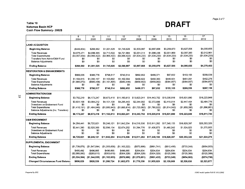### **Table 10**  Table 10<br>Natomas Basin HCP<br>**DRAFT Cash Flow Summary- 2002\$**

|                                                                                                                          | 9<br>2004                                  | 10<br>2005                                 | 11<br>2006                                 | 12<br>2007                                 | 13<br>2008                                 | 14<br>2009                                 | 15<br>2010                                 | 16<br>2011                                 | $\overline{17}$<br>2012                    |
|--------------------------------------------------------------------------------------------------------------------------|--------------------------------------------|--------------------------------------------|--------------------------------------------|--------------------------------------------|--------------------------------------------|--------------------------------------------|--------------------------------------------|--------------------------------------------|--------------------------------------------|
| LAND ACQUISITION                                                                                                         |                                            |                                            |                                            |                                            |                                            |                                            |                                            |                                            |                                            |
| <b>Beginning Balance</b>                                                                                                 | (\$449,834)                                | \$268,582                                  | \$1,001,525                                | \$1,745,626                                | \$2,500,887                                | \$2,897,668                                | \$3,259,870                                | \$3,627,506                                | \$4,000,655                                |
| <b>Total Revenues</b><br><b>Total Expenditures</b><br>Transfers from Admin/O&M Fund<br><b>Balance Adjustments</b>        | \$4,675,471<br>(\$3,957,054)<br>\$0<br>\$0 | \$4,699,365<br>(\$3,966,422)<br>\$0<br>\$0 | \$4,710,522<br>(\$3,966,422)<br>\$0<br>\$0 | \$4,721,684<br>(\$3,966,422)<br>\$0<br>\$0 | \$2,031,014<br>(\$1,634,233)<br>\$0<br>\$0 | \$1,996,436<br>(\$1.634,233)<br>\$0<br>\$0 | \$2,001,869<br>(\$1,634,233)<br>\$0<br>\$0 | \$2,007,383<br>(\$1,634,233)<br>\$0<br>\$0 | \$2,012,981<br>(\$1,634,233)<br>80<br>\$0  |
| <b>Ending Balance</b>                                                                                                    | \$268.582                                  | \$1,001,525                                | \$1,745,626                                | \$2,500,887                                | \$2,897.668                                | \$3,259,870                                | \$3,627,506                                | \$4,000,655                                | \$4,379,403                                |
| <b>RESTORATION &amp; ENHANCEMENTS</b>                                                                                    |                                            |                                            |                                            |                                            |                                            |                                            |                                            |                                            |                                            |
| <b>Beginning Balance</b>                                                                                                 | \$969,035                                  | \$388,778                                  | \$798,517                                  | \$740,514                                  | \$892,652                                  | \$499,371                                  | \$97,832                                   | \$153,105                                  | \$209,539                                  |
| <b>Total Revenues</b><br><b>Total Expenditures</b><br>Balance Adjustments                                                | \$1.104.815<br>(\$1,685,073)<br>\$0        | \$1,095.197<br>( \$685,458)<br>\$0         | \$1,103,802<br>(\$1,161,805)<br>\$0        | \$1,102.584<br>( \$950, 446)<br>\$0        | \$466.622<br>( \$859, 902)<br>\$0          | \$458,363<br>$($ \$859,902)<br>\$0         | \$449,931<br>( \$394.657)<br>\$0           | \$451.091<br>(\$394,657)<br>\$0            | \$452,276<br>( \$394, 657)<br>\$0          |
| <b>Ending Balance</b>                                                                                                    | \$388.778                                  | \$798.517                                  | \$740.514                                  | \$892.652                                  | \$499.371                                  | \$97,832                                   | \$153,105                                  | \$209,539                                  | \$267,158                                  |
| <b>ADMINISTRATION/O&amp;M</b>                                                                                            |                                            |                                            |                                            |                                            |                                            |                                            |                                            |                                            |                                            |
| <b>Beginning Balance</b>                                                                                                 | \$3,752,219                                | \$6,173,247                                | \$8,673,418                                | \$11,193,613                               | \$13,823,241                               | \$14,443,752                               | \$15,035,918                               | \$15,631,890                               | \$16,223,949                               |
| <b>Total Revenues</b><br>Drawdown on Endowment Fund<br><b>Total Expenditures</b><br>Balance Adjustments (Inc. Transfers) | \$3.831.158<br>\$0<br>(\$1,410,131)<br>\$0 | \$3,984,212<br>\$0<br>(\$1,484,040)<br>\$0 | \$4,101,138<br>\$0<br>(\$1,580,943)<br>\$0 | \$4.295.443<br>\$0<br>(\$1,665,814)<br>\$0 | \$2,344,092<br>\$0<br>(\$1,723,582)<br>\$0 | \$2,372,688<br>\$0<br>(\$1,780,522)<br>\$0 | \$2,410,014<br>\$0<br>(\$1,814,042)<br>\$0 | \$2,447,454<br>\$0<br>(\$1,855,395)<br>\$0 | \$2,484,776<br>\$0<br>(\$1,896,981)<br>\$0 |
| <b>Ending Balance</b>                                                                                                    | \$6,173,247                                | \$8,673,418                                | \$11,193,613                               | \$13,823,241                               | \$14,443,752                               | \$15,035,918                               | \$15,631,890                               | \$16,223,949                               | \$16,811,744                               |
| <b>O&amp;M ENDOWMENT</b>                                                                                                 |                                            |                                            |                                            |                                            |                                            |                                            |                                            |                                            |                                            |
| <b>Beginning Balance</b>                                                                                                 | \$4,284,441                                | \$6.725.821                                | \$9,246,121                                | \$11,842,254                               | \$14,516,506                               | \$15.911.282                               | \$17,348,155                               | \$18,828,397                               | \$20,353,320                               |
| <b>Total Revenues</b><br>Drawdown on Endowment Fund<br><b>Balance Adjustments</b>                                        | \$2,441,380<br>\$0<br>\$0                  | \$2,520,300<br>\$0<br>\$0                  | \$2,596.134<br>\$0<br>\$0                  | \$2,674,252<br>\$0<br>\$0                  | \$1,394,776<br>\$0<br>\$0                  | \$1,436,873<br>\$0<br>\$0                  | \$1,480,242<br>\$0<br>\$0                  | \$1,524,923<br>\$0<br>\$0                  | \$1,570,955<br>\$0<br>\$0                  |
| <b>Ending Balance</b>                                                                                                    | \$6,725,821                                | \$9.246.121                                | \$11,842,254                               | \$14,516,506 \$15,911,282                  |                                            | \$17,348,155                               | \$18,828,397                               | \$20,353,320                               | \$21,924,275                               |
| SUPPLEMENTAL ENDOWMENT                                                                                                   |                                            |                                            |                                            |                                            |                                            |                                            |                                            |                                            |                                            |
| <b>Beginning Balance</b>                                                                                                 | (\$1,739.876)                              | (\$1,547,994)                              | (\$1,355,658)                              | (\$1,163,322)                              | (\$970.986)                                | (\$891,741)                                | (\$812,495)                                | (\$733,249)                                | $($ \$654,003)                             |
| <b>Total Revenues</b><br><b>Total Expenditures</b>                                                                       | \$495.492<br>(\$2,080,000)                 | \$496.665<br>( \$293,610)                  | \$496.665<br>(\$303,610)                   | \$496,665<br>( \$304.329)                  | \$204.634<br>( \$304, 329)                 | \$204,634<br>(\$304,329)                   | \$204.634<br>(\$125,389)                   | \$204,634<br>(\$125,389)                   | \$204,634<br>(\$125,389)                   |
| <b>Ending Balance</b>                                                                                                    | ( \$3,324,384)                             | (\$1,344,939)                              | (\$1,162,603)                              | ( \$970, 986)                              | (\$1,070,681)                              | ( \$991, 435)                              | ( \$733, 249)                              | ( \$654, 003)                              | ( \$574, 758]                              |
| <b>Changed Circumstances Fund Balance</b>                                                                                | \$606,029                                  | \$928,539                                  | \$1,260,724                                | \$1,602,875                                | \$1,776,350                                | \$1,955,029                                | \$2,139,069                                | \$2,328,630                                | \$2,523,877                                |

*Prepared by EPS 10365 model update Fall 021011112002* 

Page 2 of 7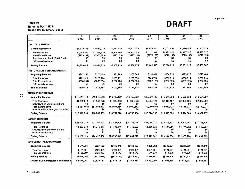### Table 10 Natomas Basin HCP Cash Flow Summary- 2002\$

|                                                                                                                                                   | 18<br>2013                                                 | $\overline{19}$<br>2014                                    | 20<br>2015                                                 | $\overline{21}$<br>2016                                   | 22<br>2017                                                  | 23<br>2018                                                 | 24<br>2019                                                  | 25<br>2020                                                 |
|---------------------------------------------------------------------------------------------------------------------------------------------------|------------------------------------------------------------|------------------------------------------------------------|------------------------------------------------------------|-----------------------------------------------------------|-------------------------------------------------------------|------------------------------------------------------------|-------------------------------------------------------------|------------------------------------------------------------|
| <b>ILAND ACQUISITION</b>                                                                                                                          |                                                            |                                                            |                                                            |                                                           |                                                             |                                                            |                                                             |                                                            |
| <b>Beginning Balance</b>                                                                                                                          | \$4,379,403                                                | \$4,659,012                                                | \$4,931,328                                                | \$5,207,729                                               | \$5,488,275                                                 | \$5,642,593                                                | \$5,796,911                                                 | \$5,951,229                                                |
| <b>Total Revenues</b><br><b>Total Expenditures</b><br>Transfers from Admin/O&M Fund<br><b>Balance Adjustments</b>                                 | \$1,252,809<br>(\$973,199)<br>\$O<br>\$0                   | \$1.245.515<br>(\$973,199)<br>\$0<br>\$0                   | \$1,249,600<br>( \$973, 199)<br>\$0<br>\$0                 | \$1,253,746<br>( \$973, 199)<br>\$0<br>\$0                | \$1,127,517<br>( \$973, 199)<br>\$0<br>\$0                  | \$1,127,517<br>$($ \$973,199 $)$<br>\$0<br>\$0             | \$1,127,517<br>( \$973, 199)<br>\$0<br>\$0                  | \$1,127,517<br>( \$973, 199)<br>\$0<br>\$0                 |
| <b>Ending Balance</b>                                                                                                                             | \$4,659,012                                                | \$4,931,328                                                | \$5,207,729                                                | \$5,488,275                                               | \$5,642,593                                                 | \$5,796,911                                                | \$5,951,229                                                 | \$6,105,547                                                |
| <b>RESTORATION &amp; ENHANCEMENTS</b>                                                                                                             |                                                            |                                                            |                                                            |                                                           |                                                             |                                                            |                                                             |                                                            |
| <b>Beginning Balance</b>                                                                                                                          | \$267,158                                                  | \$170,488                                                  | \$71,788                                                   | \$102,885                                                 | \$134,634                                                   | \$164,223                                                  | \$193.812                                                   | \$223,400                                                  |
| <b>Total Revenues</b><br><b>Total Expenditures</b><br><b>Balance Adjustments</b>                                                                  | \$272,324<br>(\$368,994)<br>\$0                            | \$270,294<br>( \$368.994)<br>\$0                           | \$268,221<br>( \$237, 125)<br>\$0                          | \$268,874<br>(\$237,125)<br>\$0                           | \$266,714<br>(\$237, 125)<br>\$0                            | \$266,714<br>( \$237, 125)<br>\$0                          | \$266,714<br>(\$237,125)<br>\$0                             | \$266,714<br>( \$237, 125)<br>\$0                          |
| Ending Balance                                                                                                                                    | \$170,488                                                  | \$71,788                                                   | \$102,885                                                  | \$134,634                                                 | \$164,223                                                   | \$193,812                                                  | \$223,400                                                   | \$252,989                                                  |
| ADMINISTRATION/O&M                                                                                                                                |                                                            |                                                            |                                                            |                                                           |                                                             |                                                            |                                                             |                                                            |
| <b>Beginning Balance</b>                                                                                                                          | \$16,811,744                                               | \$16,812,353                                               | \$16,786,109                                               | \$16,767,220                                              | \$16,730,436                                                | \$16,674,952                                               | \$16,599,930                                                | \$16,504,500                                               |
| <b>Total Revenues</b><br>Drawdown on Endowment Fund<br><b>Total Expenditures</b><br>Balance Adjustments (Inc. Transfers)<br><b>Ending Balance</b> | \$1,932,213<br>\$0<br>(\$1,931,604)<br>\$O<br>\$16,812,353 | \$1,940,228<br>\$0<br>(\$1,966,472)<br>\$0<br>\$16,786,109 | \$1,982,496<br>\$0<br>(\$2,001,385)<br>\$0<br>\$16,767,220 | \$1,993,578<br>\$0<br>(\$2,030,362)<br>80<br>\$16,730,436 | \$2,004,123<br>\$0<br>( \$2,059,607)<br>\$0<br>\$16,674,952 | \$2,014,107<br>SO.<br>( \$2.089.128)<br>S0<br>\$16,599,930 | \$2.023.504<br>\$0<br>(S2, 118, 934)<br>\$0<br>\$16,504,500 | \$2,032,290<br>\$0<br>(\$2,149,033)<br>\$0<br>\$16,387,757 |
|                                                                                                                                                   |                                                            |                                                            |                                                            |                                                           |                                                             |                                                            |                                                             |                                                            |
| <b>O&amp;M ENDOWMENT</b><br><b>Beginning Balance</b>                                                                                              | \$21.924.275                                               | \$23,157,193                                               | \$24,427,406                                               | \$25,736,045                                              | \$27,084,277                                                | \$28,473,302                                               | \$29.904.358                                                | \$31,378,720                                               |
| <b>Total Revenues</b><br>Drawdown on Endowment Fund<br><b>Balance Adjustments</b>                                                                 | \$1,232,918<br>\$0<br>\$0                                  | \$1,270,213<br>\$0<br>\$0                                  | \$1,308,640<br>\$0<br>\$0                                  | \$1,348,232<br>\$0<br>\$0                                 | \$1,389,025<br>\$0<br>\$0                                   | \$1,431,056<br>\$0<br>\$0                                  | \$1,474,362<br>\$0<br>\$0                                   | \$1,518,983<br>\$0<br>\$0                                  |
| <b>Ending Balance</b>                                                                                                                             | \$23,157,193                                               | \$24.427.406                                               | \$25.736.045                                               | \$27,084,277                                              | \$28,473.302                                                | \$29,904,358                                               | \$31.378.720                                                | \$32,897,703                                               |
| <b>SUPPLEMENTAL ENDOWMENT</b>                                                                                                                     |                                                            |                                                            |                                                            |                                                           |                                                             |                                                            |                                                             |                                                            |
| <b>Beginning Balance</b>                                                                                                                          | (\$574,758)                                                | (\$527,566)                                                | $($ \$480,375)                                             | ( \$433, 183)                                             | (\$385,992)                                                 | $($ \$338,801)                                             | (\$291,609)                                                 | ( \$244, 418)                                              |
| <b>Total Revenues</b><br><b>Total Expenditures</b>                                                                                                | \$121,861<br>(\$125,389)                                   | \$121,861<br>(\$125,389)                                   | \$121,861<br>(\$74,670)                                    | \$121,861<br>(\$74,670)                                   | \$121,861<br>(\$74,670)                                     | \$121,861<br>(\$74,670)                                    | \$121,861<br>(\$74,670)                                     | \$121,861<br>( \$74, 670)                                  |
| <b>Ending Balance</b>                                                                                                                             | ( \$578, 285)                                              | ( \$531,094)                                               | (\$433,183)                                                | ( \$385, 992)                                             | ( \$338, 801)                                               | ( \$291, 609)                                              | ( \$244, 418)                                               | (\$197,226)                                                |
| <b>Changed Circumstances Fund Balance</b>                                                                                                         | \$2,674,264                                                | \$2,829,161                                                | \$2,988,706                                                | \$3,153,037                                               | \$3,322,299                                                 | \$3,496,638                                                | \$3,676,207                                                 | \$3,861,163                                                |

 $\tilde{c}$ 

*Prepared by EPS.* 

**DRAFT**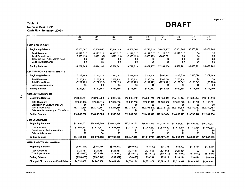### **Table 10**  Table 10<br>Natomas Basin HCP<br>**DRAFT Cash Flow Summary- 2002\$**

|                                       |                   |                         |                   |                         |                   |                                        |                         | $\overline{33}$ | 34             |
|---------------------------------------|-------------------|-------------------------|-------------------|-------------------------|-------------------|----------------------------------------|-------------------------|-----------------|----------------|
|                                       | 26<br>2021        | $\overline{27}$<br>2022 | 28<br>2023        | $\overline{29}$<br>2024 | 30<br>2025        | 31<br>2026                             | $\overline{32}$<br>2027 | 2028            | 2029           |
|                                       |                   |                         |                   |                         |                   |                                        |                         |                 |                |
| <b>LAND ACQUISITION</b>               |                   |                         |                   |                         |                   |                                        |                         |                 |                |
| <b>Beginning Balance</b>              | \$6,105,547       | \$6,259,865             | \$6.414.183       | \$6,568,501             | \$6,722,819       | \$6,877,137                            | \$7,361,264             | \$8,488.781     | \$8,488,781    |
| <b>Total Revenues</b>                 | \$1,127,517       | \$1,127,517             | \$1,127,517       | \$1.127.517             | \$1,127,517       | \$1,127,517                            | \$1.127.517             | \$0             | \$0            |
| <b>Total Expenditures</b>             | $($ \$973,199 $)$ | $($ \$973,199 $)$       | $($ \$973,199 $)$ | $($ \$973,199 $)$       | $($ \$973,199 $)$ | ( \$643, 391)                          | \$0                     | \$0             | \$0            |
| Transfers from Admin/O&M Fund         | \$0               | 80                      | \$0               | \$0                     | \$0               | \$0                                    | \$0                     | \$0             | \$0            |
| <b>Balance Adjustments</b>            | \$0               | \$0                     | \$0               | \$0                     | \$0               | \$0                                    | \$0                     | \$0             | \$0            |
| <b>Ending Balance</b>                 | \$6,259,865       | \$6,414,183             | \$6,568,501       | \$6,722,819             | \$6,877,137       | \$7,361,264                            | \$8,488,781             | \$8,488,781     | \$8,488,781    |
| <b>RESTORATION &amp; ENHANCEMENTS</b> |                   |                         |                   |                         |                   |                                        |                         |                 |                |
| <b>Beginning Balance</b>              | \$252,989         | \$282,578               | \$312,167         | \$341,755               | \$371,344         | \$400,933                              | \$443,326               | \$510.698       | \$377,149      |
| <b>Total Revenues</b>                 | \$266.714         | \$266.714               | \$266.714         | \$266.714               | \$266.714         | \$266,714                              | \$266.714               | \$0             | \$0            |
| <b>Total Expenditures</b>             | (\$237, 125)      | (\$237, 125)            | (\$237, 125)      | ( \$237, 125)           | (\$237, 125)      | (\$224,321)                            | (\$199,342)             | (\$133,549)     | ( \$5,200)     |
| <b>Balance Adjustments</b>            | \$0               | \$0                     | \$0               | \$O.                    | \$0               | \$0                                    | \$0                     | \$0             | \$0            |
| <b>Ending Balance</b>                 | \$282,578         | \$312,167               | \$341,755         | \$371,344               | \$400.933         | \$443.326                              | \$510,698               | \$377,149       | \$371,949      |
| <b>ADMINISTRATION/O&amp;M</b>         |                   |                         |                   |                         |                   |                                        |                         |                 |                |
| <b>Beginning Balance</b>              | \$16,387,757      | \$16,248,758            | \$16,086,526      | \$15,900,042            | \$15,688,249      | \$15,450,048                           | \$15,182,424            | \$14,880,477    | \$13,708,446   |
| <b>Total Revenues</b>                 | \$2,040,436       | \$2,047,915             | \$2,054,696       | \$2,060,750             | \$2,066,045       | \$2,065,082                            | \$2,052,573             | \$1,188,722     | \$1,153,561    |
| Drawdown on Endowment Fund            | \$0               | \$0                     | \$0               | \$0                     | 50                | \$0                                    | \$0                     | \$0             | \$0            |
| <b>Total Expenditures</b>             | (\$2,179,435)     | (\$2,210,147)           | (\$2,241,180)     | (\$2,272,543)           | (\$2,304,246)     | (\$2,332,706)                          | (\$2,354,519)           | (\$2,360,753)   | ( \$2,360,753) |
| Balance Adjustments (Inc. Transfers)  | \$0               | \$0                     | \$0               | \$0                     | \$0               | \$0                                    | \$0                     | \$0             | \$0            |
| <b>Ending Balance</b>                 | \$16,248,758      | \$16,086,526            | \$15,900,042      | \$15,688,249            |                   | \$15,450,048 \$15,182,424 \$14,880,477 |                         | \$13,708,446    | \$12,501,254   |
| <b>O&amp;M ENDOWMENT</b>              |                   |                         |                   |                         |                   |                                        |                         |                 |                |
| <b>Beginning Balance</b>              | \$32.897.703      | \$34,462,660            | \$36,074,988      | \$37.736.123            | \$39,447,549      | \$41,210,791                           | \$43,027,423            | \$44,899,067    | \$46,259,901   |
| <b>Total Revenues</b>                 | \$1,564,957       | \$1,612,327             | \$1,661,135       | \$1,711,425             | \$1,763,242       | \$1,816,632                            | \$1.871.644             | \$1,360,834     | \$1,402,214    |
| Drawdown on Endowment Fund            | \$0               | \$0                     | \$0               | \$0                     | \$0               | \$0                                    | \$0                     | \$0             | \$0            |
| <b>Balance Adjustments</b>            | \$0               | \$0                     | \$0               | \$O                     | \$0               | \$0                                    | \$0                     | \$0             | \$0            |
| Ending Balance                        | \$34,462,660      | \$36,074,988            | \$37.736.123      | \$39,447,549            | \$41,210,791      | \$43,027,423                           | \$44,899.067            | \$46,259,901    | \$47.662.115   |
| <b>SUPPLEMENTAL ENDOWMENT</b>         |                   |                         |                   |                         |                   |                                        |                         |                 |                |
| <b>Beginning Balance</b>              | (\$197,226)       | (\$150,035)             | (\$102,843)       | ( \$55,652)             | (\$8,460)         | \$38,731                               | \$85,922                | \$133.114       | \$133.114      |
| <b>Total Revenues</b>                 | \$121.861         | \$121,861               | \$121.861         | \$121.861               | \$121,861         | \$121.861                              | \$121.861               | \$0             | \$0            |
| <b>Total Expenditures</b>             | ( \$74, 670)      | (\$74,670)              | (\$74,670)        | ( \$74, 670)            | ( \$74, 670)      | (\$74,670)                             | ( \$74, 670)            | ( \$74, 670)    | (\$74,670)     |
| <b>Ending Balance</b>                 | (\$150,035)       | (\$102,843)             | ( \$55, 652)      | ( \$8,460)              | \$38,731          | \$85,922                               | \$133,114               | \$58,444        | \$58,444       |
| Changed Circumstances Fund Balance    | \$4,051,668       | \$4,247,888             | \$4,449,994       | \$4,658,164             | \$4,872,579       | \$5,093,427                            | \$5,320,899             | \$5,480,526     | \$5,644,942    |

Page 4 of 7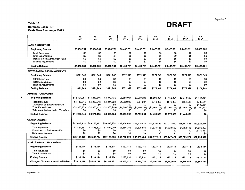### Table 10<br>Natomas Basin HCP Cash Flow Summary- 2002\$

|                                           | $\overline{35}$<br>2030 | $\overline{36}$<br>2031 | $\overline{37}$<br>2032 | $\overline{38}$<br>2033 | 39<br>2034    | 40<br>2035    | $\overline{41}$<br>2036 | 42<br>2037     | $\overline{43}$<br>2038 |
|-------------------------------------------|-------------------------|-------------------------|-------------------------|-------------------------|---------------|---------------|-------------------------|----------------|-------------------------|
|                                           |                         |                         |                         |                         |               |               |                         |                |                         |
| <b>LAND ACQUISITION</b>                   |                         |                         |                         |                         |               |               |                         |                |                         |
| <b>Beginning Balance</b>                  | \$8,488,781             | \$8,488,781             | \$8,488,781             | \$8,488,781             | \$8.488,781   | \$8.488.781   | \$8.488.781             | \$8,488,781    | \$8,488,781             |
| <b>Total Revenues</b>                     | \$0                     | \$0                     | \$0                     | \$0                     | \$0           | \$0           | \$0                     | \$0            | \$0                     |
| <b>Total Expenditures</b>                 | \$0                     | \$0                     | \$0                     | \$0                     | \$0           | \$0           | \$0                     | \$0            | \$0                     |
| Transfers from Admin/O&M Fund             | \$0                     | \$0                     | \$0                     | \$0                     | \$0           | SO.           | \$0                     | \$0            | \$0                     |
| <b>Balance Adjustments</b>                | \$0                     | \$0                     | \$0                     | \$0                     | \$0           | \$0           | \$O.                    | \$0            | \$0                     |
| <b>Ending Balance</b>                     | \$8,488,781             | \$8,488,781             | \$8,488,781             | \$8,488,781             | \$8,488.781   | \$8,488.781   | \$8,488.781             | \$8,488,781    | \$8,488,781             |
| <b>RESTORATION &amp; ENHANCEMENTS</b>     |                         |                         |                         |                         |               |               |                         |                |                         |
| <b>Beginning Balance</b>                  | \$371.949               | \$371,949               | \$371,949               | \$371,949               | \$371,949     | \$371,949     | \$371.949               | \$371,949      | \$371,949               |
| <b>Total Revenues</b>                     | \$0                     | \$0                     | \$0                     | \$0                     | \$0           | \$0           | \$0                     | \$0            | \$0                     |
| <b>Total Expenditures</b>                 | \$0                     | \$0                     | \$0                     | \$0                     | \$0           | \$0           | \$0                     | \$0            | \$0                     |
| <b>Balance Adjustments</b>                | \$0                     | S0                      | \$0                     | \$0                     | \$0           | \$0           | \$0                     | \$0            | \$0                     |
| <b>Ending Balance</b>                     | \$371,949               | \$371,949               | \$371,949               | \$371,949               | \$371,949     | \$371,949     | \$371,949               | \$371,949      | \$371,949               |
| <b>ADMINISTRATION/O&amp;M</b>             |                         |                         |                         |                         |               |               |                         |                |                         |
| <b>Beginning Balance</b>                  | \$12,501,254            | \$11,257,846            | \$9,977,135             | \$8,658,004             | \$7,299,298   | \$5,899,831   | \$4,458,381             | \$2,973,686    | \$1,444,451             |
| <b>Total Revenues</b>                     | \$1,117,345             | \$1,080,043             | \$1,041,622             | \$1,002,048             | \$961,287     | \$919,303     | \$876,059               | \$831,518      | \$785,641               |
| Drawdown on Endowment Fund                | \$0                     | \$0                     | \$0                     | \$0                     | \$0           | \$0           | \$0                     | S٥             | \$130,661               |
| <b>Total Expenditures</b>                 | (\$2,360,753)           | (\$2,360,753)           | (\$2,360,753)           | ( \$2,360,753)          | (\$2,360,753) | (\$2,360,753) | (\$2,360,753)           | ( \$2,360,753) | (\$2,360,753)           |
| Balance Adjustments (Inc. Transfers)      | \$0                     | \$0                     | \$0                     | \$0                     | \$0           | \$0           | \$0                     | \$0            | \$0                     |
| <b>Ending Balance</b>                     | \$11,257,846            | \$9,977,135             | \$8,658,004             | \$7,299,298             | \$5,899,831   | \$4,458,381   | \$2,973,686             | \$1,444,451    | \$0                     |
| <b>O&amp;M ENDOWMENT</b>                  |                         |                         |                         |                         |               |               |                         |                |                         |
| <b>Beginning Balance</b>                  | \$47,662,115            | \$49,106,972            | \$50,595,774            | \$52,129,865            | \$53,710,626  | \$55,339,485  | \$57,017,912            | \$58,747,421   | \$60,529,574            |
| <b>Total Revenues</b>                     | \$1,444,857             | \$1,488,802             | \$1,534,090             | \$1,580.762             | \$1,628.859   | \$1,678,426   | \$1,729,509             | \$1,782,153    | \$1,836,407             |
| Drawdown on Endowment Fund                | \$0                     | \$0                     | \$0                     | \$0                     | \$0           | \$0           | \$0                     | \$0            | (\$130,661)             |
| <b>Balance Adjustments</b>                | \$0                     | \$0                     | \$0                     | \$0                     | \$0           | \$0           | \$0                     | \$0            | \$0                     |
| <b>Ending Balance</b>                     | \$49,106,972            | \$50,595,774            | \$52,129,865            | \$53,710,626            | \$55,339,485  | \$57,017,912  | \$58,747,421            | \$60,529,574   | \$62,235,320            |
| <b>SUPPLEMENTAL ENDOWMENT</b>             |                         |                         |                         |                         |               |               |                         |                |                         |
| <b>Beginning Balance</b>                  | \$133,114               | \$133,114               | \$133,114               | \$133,114               | \$133.114     | \$133.114     | \$133,114               | \$133,114      | \$133,114               |
| <b>Total Revenues</b>                     | \$0                     | \$0                     | \$0                     | \$0                     | \$0           | \$0           | \$0                     | \$0            | \$0                     |
| <b>Total Expenditures</b>                 | \$0                     | \$0                     | \$0                     | \$0                     | \$0           | \$0           | \$0                     | \$0            | \$0                     |
| <b>Ending Balance</b>                     | \$133,114               | \$133,114               | \$133,114               | \$133,114               | \$133,114     | \$133,114     | \$133,114               | \$133.114      | \$133,114               |
| <b>Changed Circumstances Fund Balance</b> | \$5,814,290             | \$5,988,719             | \$6,168,381             | \$6,353,432             | \$6,544,035   | \$6,740,356   | \$6,942.567             | \$7,150,844    | \$7,365,369             |
|                                           |                         |                         |                         |                         |               |               |                         |                |                         |

 $\overline{z}$ 

Page 5 of 7

DRAFT

*Prepared by EPS. 10365 model update Fall 02 1011 J/2002*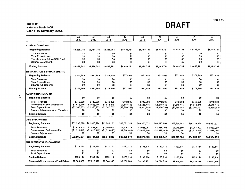### Table 10<br>Natomas Basin HCP Cash Flow Summary· 2002\$

|                                                                                   | 44                                  | 45                                  | 46                                  | 47                                  | 48                                   | 49                                  | 50                                  | 51                                  | 52                                  |
|-----------------------------------------------------------------------------------|-------------------------------------|-------------------------------------|-------------------------------------|-------------------------------------|--------------------------------------|-------------------------------------|-------------------------------------|-------------------------------------|-------------------------------------|
|                                                                                   | 2039                                | 2040                                | 2041                                | 2042                                | 2043                                 | 2044                                | 2045                                | 2046                                | 2047                                |
| <b>LAND ACQUISITION</b>                                                           |                                     |                                     |                                     |                                     |                                      |                                     |                                     |                                     |                                     |
| <b>Beginning Balance</b>                                                          | \$8,488,781                         | \$8,488,781                         | \$8,488,781                         | \$8,488,781                         | \$8,488,781                          | \$8,488,781                         | \$8,488,781                         | \$8,488,781                         | \$8,488,781                         |
| <b>Total Revenues</b><br><b>Total Expenditures</b>                                | \$0<br>\$0                          | \$0<br>\$0                          | \$0<br>\$0                          | \$0<br>\$0                          | \$0<br>\$0                           | \$0<br>\$0                          | \$0<br>\$0                          | \$0<br>\$0                          | \$0<br>\$0                          |
| Transfers from Admin/O&M Fund<br><b>Balance Adjustments</b>                       | \$0<br>\$0                          | \$0<br>\$0                          | \$0<br>\$0                          | \$0<br>\$0                          | \$0<br>30                            | \$0<br>\$0                          | \$0<br>\$0                          | \$0<br>\$0                          | \$0<br>\$0                          |
| <b>Ending Balance</b>                                                             | \$8,488,781                         | \$8,488,781                         | \$8,488,781                         | \$8,488.781                         | \$8,488,781                          | \$8,488,781                         | \$8,488,781                         | \$8,488,781                         | \$8,488,781                         |
| <b>RESTORATION &amp; ENHANCEMENTS</b>                                             |                                     |                                     |                                     |                                     |                                      |                                     |                                     |                                     |                                     |
| <b>Beginning Balance</b>                                                          | \$371,949                           | \$371,949                           | \$371,949                           | \$371,949                           | \$371,949                            | \$371,949                           | \$371,949                           | \$371,949                           | \$371,949                           |
| <b>Total Revenues</b><br><b>Total Expenditures</b>                                | SO.<br>\$O                          | \$0<br>\$0                          | \$0<br>\$0                          | \$0<br>\$0                          | SO.<br>\$0                           | \$0<br>\$0                          | \$O<br>\$0                          | \$0<br>\$0                          | \$0<br>\$0                          |
| <b>Balance Adjustments</b>                                                        | \$0                                 | \$0                                 | \$0                                 | \$O                                 | \$0                                  | \$0                                 | \$0                                 | \$0                                 | \$0                                 |
| <b>Ending Balance</b>                                                             | \$371,949                           | \$371,949                           | \$371.949                           | \$371,949                           | \$371,949                            | \$371,949                           | \$371,949                           | \$371,949                           | \$371,949                           |
| <b>ADMINISTRATION/O&amp;M</b>                                                     |                                     |                                     |                                     |                                     |                                      |                                     |                                     |                                     |                                     |
| <b>Beginning Balance</b>                                                          | \$0                                 | \$0                                 | \$0                                 | \$0                                 | \$0                                  | \$0                                 | \$0                                 | \$0                                 | \$0                                 |
| <b>Total Revenues</b>                                                             | \$742,308                           | \$742,308                           | \$742,308                           | \$742,308                           | \$742,308                            | \$742,308                           | \$742,308                           | \$742,308                           | \$742,308                           |
| Drawdown on Endowment Fund                                                        | \$1,618,446                         | \$1,618,446                         | \$1,618,446                         | \$1,618,446                         | \$1,618,446                          | \$1,618,446                         | \$1,618,446                         | \$1,618,446                         | \$1,618,446                         |
| <b>Total Expenditures</b><br>Balance Adjustments (Inc. Transfers)                 | (\$2,360,753)<br>\$0                | (\$2,360,753)<br>\$0                | ( \$2.360, 753)<br>\$0              | (\$2,360,753)<br>\$0                | ( \$2,360,753)<br>\$0                | ( \$2,360,753)<br>\$0               | (\$2,360,753)<br>\$0                | (\$2,360,753)<br>\$0                | (\$2,360,753)<br>80                 |
| <b>Ending Balance</b>                                                             | \$0                                 | \$0                                 | \$0                                 | \$0                                 | \$0                                  | \$0                                 | \$0                                 | \$0                                 | \$0                                 |
| <b>O&amp;M ENDOWMENT</b>                                                          |                                     |                                     |                                     |                                     |                                      |                                     |                                     |                                     |                                     |
| <b>Beginning Balance</b>                                                          | \$62,235,320                        | \$62,505,274                        | \$62,784,180                        | \$63,072,342                        | \$63,370,072                         | \$63,677,693                        | \$63,995,542                        | \$64,323,965                        | \$64,663,321                        |
| <b>Total Revenues</b><br>Drawdown on Endowment Fund<br><b>Balance Adjustments</b> | \$1,888,400<br>(\$1,618,446)<br>\$0 | \$1,897,352<br>(\$1,618,446)<br>\$0 | \$1,906,607<br>(\$1,618,446)<br>\$0 | \$1,916,175<br>(\$1,618,446)<br>\$0 | \$1,926,067<br>( \$1,618,446)<br>\$0 | \$1,936,295<br>(\$1,618,446)<br>SO. | \$1.946.869<br>(\$1,618,446)<br>\$0 | \$1,957,802<br>(\$1,618,446)<br>\$0 | \$1,939,900<br>(\$1,618,446)<br>\$0 |
| <b>Ending Balance</b>                                                             | \$62,505,274                        | \$62,784,180                        | \$63,072,342                        | \$63,370,072                        | \$63,677,693                         | \$63,995,542                        | \$64,323,965                        | \$64.663.321                        | \$64,984,775                        |
| SUPPLEMENTAL ENDOWMENT                                                            |                                     |                                     |                                     |                                     |                                      |                                     |                                     |                                     |                                     |
| <b>Beginning Balance</b>                                                          | \$133,114                           | \$133.114                           | \$133,114                           | \$133,114                           | \$133,114                            | \$133,114                           | \$133,114                           | \$133,114                           | \$133,114                           |
| <b>Total Revenues</b><br><b>Total Expenditures</b>                                | \$0<br>\$0                          | \$0<br>\$0                          | \$0<br>\$0                          | \$0<br>\$0                          | \$0<br>\$0                           | \$0<br>\$0                          | \$0<br>\$0                          | \$0<br>\$0                          | \$0<br>\$0                          |
| <b>Ending Balance</b>                                                             | \$133,114                           | \$133,114                           | \$133,114                           | \$133,114                           | \$133,114                            | \$133,114                           | \$133,114                           | \$133,114                           | \$133,114                           |
| <b>Changed Circumstances Fund Balance</b>                                         | \$7,586,330                         | \$7,813,920                         | \$8,048,338                         | \$8,289,788                         | \$8,538,481                          | \$8,794,636                         | \$9,058.475                         | \$9.330.229                         | \$9,610,136                         |

Page 6 of 7

DRAFT